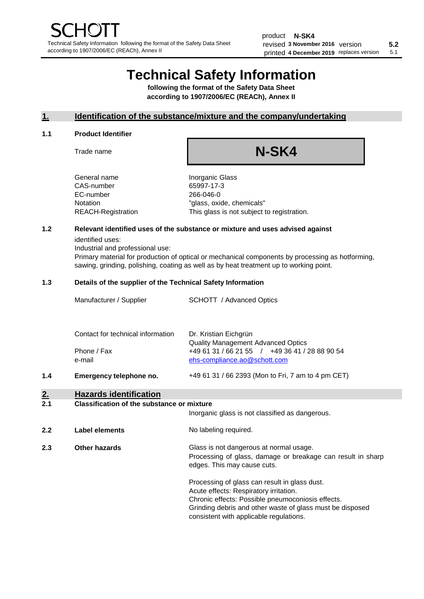# **Technical Safety Information**

**following the format of the Safety Data Sheet according to 1907/2006/EC (REACh), Annex II**

# **1. Identification of the substance/mixture and the company/undertaking**

#### **1.1 Product Identifier**

Trade name

# **N-SK4**

General name **Inorganic Glass** CAS-number 65997-17-3 EC-number 266-046-0

Notation "glass, oxide, chemicals" REACH-Registration This glass is not subject to registration.

# **1.2 Relevant identified uses of the substance or mixture and uses advised against**

identified uses:

Industrial and professional use:

Primary material for production of optical or mechanical components by processing as hotforming, sawing, grinding, polishing, coating as well as by heat treatment up to working point.

### **1.3 Details of the supplier of the Technical Safety Information**

| Manufacturer / Supplier           | SCHOTT / Advanced Optics                                                       |
|-----------------------------------|--------------------------------------------------------------------------------|
| Contact for technical information | Dr. Kristian Eichgrün<br><b>Quality Management Advanced Optics</b>             |
| Phone / Fax<br>e-mail             | +49 61 31 / 66 21 55 / +49 36 41 / 28 88 90 54<br>ehs-compliance.ao@schott.com |

**1.4 Emergency telephone no.** +49 61 31 / 66 2393 (Mon to Fri, 7 am to 4 pm CET)

# **2. Hazards identification**

#### **2.1 Classification of the substance or mixture**

Inorganic glass is not classified as dangerous.

**2.2 Label elements No labeling required.** 

**2.3 Other hazards Glass is not dangerous at normal usage.** Processing of glass, damage or breakage can result in sharp edges. This may cause cuts.

> Processing of glass can result in glass dust. Acute effects: Respiratory irritation. Chronic effects: Possible pneumoconiosis effects. Grinding debris and other waste of glass must be disposed consistent with applicable regulations.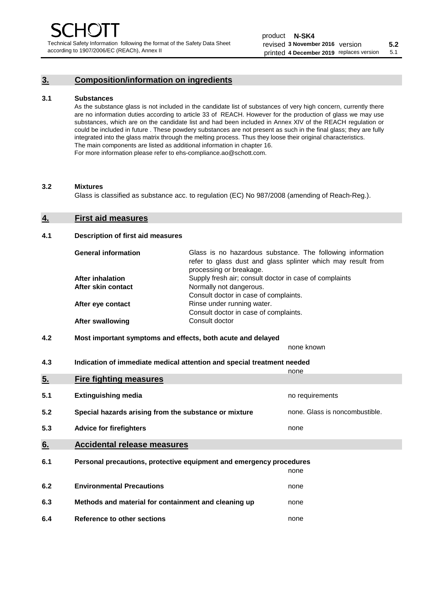# **3. Composition/information on ingredients**

#### **3.1 Substances**

As the substance glass is not included in the candidate list of substances of very high concern, currently there are no information duties according to article 33 of REACH. However for the production of glass we may use substances, which are on the candidate list and had been included in Annex XIV of the REACH regulation or could be included in future . These powdery substances are not present as such in the final glass; they are fully integrated into the glass matrix through the melting process. Thus they loose their original characteristics. The main components are listed as additional information in chapter 16. For more information please refer to ehs-compliance.ao@schott.com.

#### **3.2 Mixtures**

Glass is classified as substance acc. to regulation (EC) No 987/2008 (amending of Reach-Reg.).

#### **4. First aid measures**

#### **4.1 Description of first aid measures**

| <b>General information</b> | Glass is no hazardous substance. The following information<br>refer to glass dust and glass splinter which may result from<br>processing or breakage. |
|----------------------------|-------------------------------------------------------------------------------------------------------------------------------------------------------|
| <b>After inhalation</b>    | Supply fresh air; consult doctor in case of complaints                                                                                                |
| After skin contact         | Normally not dangerous.                                                                                                                               |
|                            | Consult doctor in case of complaints.                                                                                                                 |
| After eye contact          | Rinse under running water.                                                                                                                            |
|                            | Consult doctor in case of complaints.                                                                                                                 |
| <b>After swallowing</b>    | Consult doctor                                                                                                                                        |

## **4.2 Most important symptoms and effects, both acute and delayed**

none known

**4.3 Indication of immediate medical attention and special treatment needed** 

|     |                                                                     | none                           |
|-----|---------------------------------------------------------------------|--------------------------------|
| 5.  | <b>Fire fighting measures</b>                                       |                                |
| 5.1 | <b>Extinguishing media</b>                                          | no requirements                |
| 5.2 | Special hazards arising from the substance or mixture               | none. Glass is noncombustible. |
| 5.3 | <b>Advice for firefighters</b>                                      | none                           |
| 6.  | <b>Accidental release measures</b>                                  |                                |
| 6.1 | Personal precautions, protective equipment and emergency procedures |                                |
|     |                                                                     | none                           |
| 6.2 | <b>Environmental Precautions</b>                                    | none                           |
| 6.3 | Methods and material for containment and cleaning up                | none                           |
| 6.4 | Reference to other sections                                         | none                           |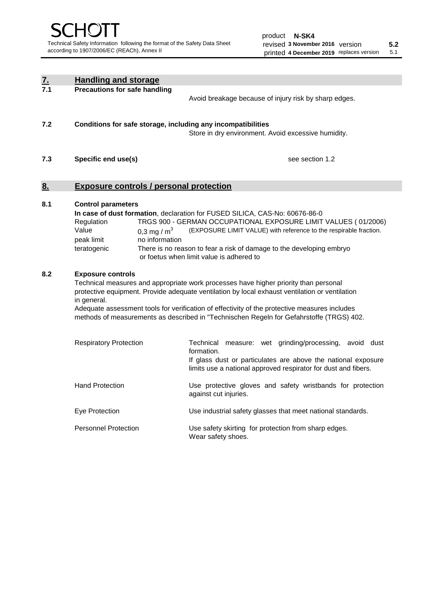| $\frac{7}{7.1}$ | <b>Handling and storage</b>                                                                                         |                                                                                                                                                                                                                                                                                                                                                                                     |  |  |
|-----------------|---------------------------------------------------------------------------------------------------------------------|-------------------------------------------------------------------------------------------------------------------------------------------------------------------------------------------------------------------------------------------------------------------------------------------------------------------------------------------------------------------------------------|--|--|
|                 | <b>Precautions for safe handling</b><br>Avoid breakage because of injury risk by sharp edges.                       |                                                                                                                                                                                                                                                                                                                                                                                     |  |  |
| 7.2             | Conditions for safe storage, including any incompatibilities<br>Store in dry environment. Avoid excessive humidity. |                                                                                                                                                                                                                                                                                                                                                                                     |  |  |
| 7.3             | see section 1.2<br>Specific end use(s)                                                                              |                                                                                                                                                                                                                                                                                                                                                                                     |  |  |
| 8.              | <b>Exposure controls / personal protection</b>                                                                      |                                                                                                                                                                                                                                                                                                                                                                                     |  |  |
| 8.1             | <b>Control parameters</b><br>Regulation<br>Value<br>0,3 mg / $m3$<br>peak limit<br>no information<br>teratogenic    | In case of dust formation, declaration for FUSED SILICA, CAS-No: 60676-86-0<br>TRGS 900 - GERMAN OCCUPATIONAL EXPOSURE LIMIT VALUES (01/2006)<br>(EXPOSURE LIMIT VALUE) with reference to the respirable fraction.<br>There is no reason to fear a risk of damage to the developing embryo<br>or foetus when limit value is adhered to                                              |  |  |
| 8.2             | <b>Exposure controls</b><br>in general.                                                                             | Technical measures and appropriate work processes have higher priority than personal<br>protective equipment. Provide adequate ventilation by local exhaust ventilation or ventilation<br>Adequate assessment tools for verification of effectivity of the protective measures includes<br>methods of measurements as described in "Technischen Regeln for Gefahrstoffe (TRGS) 402. |  |  |
|                 | <b>Respiratory Protection</b>                                                                                       | Technical measure: wet grinding/processing, avoid dust<br>formation.<br>If glass dust or particulates are above the national exposure<br>limits use a national approved respirator for dust and fibers.                                                                                                                                                                             |  |  |
|                 | <b>Hand Protection</b>                                                                                              | Use protective gloves and safety wristbands for protection<br>against cut injuries.                                                                                                                                                                                                                                                                                                 |  |  |
|                 | Eye Protection                                                                                                      | Use industrial safety glasses that meet national standards.                                                                                                                                                                                                                                                                                                                         |  |  |
|                 | <b>Personnel Protection</b>                                                                                         | Use safety skirting for protection from sharp edges.<br>Wear safety shoes.                                                                                                                                                                                                                                                                                                          |  |  |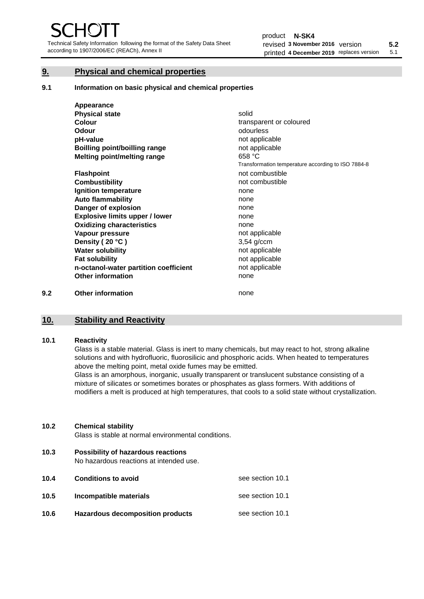Technical Safety Information following the format of the Safety Data Sheet according to 1907/2006/EC (REACh), Annex II

# **9. Physical and chemical properties**

**9.1 Information on basic physical and chemical properties**

|     | Appearance                            |                                                    |
|-----|---------------------------------------|----------------------------------------------------|
|     | <b>Physical state</b>                 | solid                                              |
|     | Colour                                | transparent or coloured                            |
|     | Odour                                 | odourless                                          |
|     | pH-value                              | not applicable                                     |
|     | Boilling point/boilling range         | not applicable                                     |
|     | Melting point/melting range           | 658 °C                                             |
|     |                                       | Transformation temperature according to ISO 7884-8 |
|     | <b>Flashpoint</b>                     | not combustible                                    |
|     | <b>Combustibility</b>                 | not combustible                                    |
|     | Ignition temperature                  | none                                               |
|     | <b>Auto flammability</b>              | none                                               |
|     | Danger of explosion                   | none                                               |
|     | <b>Explosive limits upper / lower</b> | none                                               |
|     | <b>Oxidizing characteristics</b>      | none                                               |
|     | Vapour pressure                       | not applicable                                     |
|     | Density (20 °C)                       | $3,54$ g/ccm                                       |
|     | <b>Water solubility</b>               | not applicable                                     |
|     | <b>Fat solubility</b>                 | not applicable                                     |
|     | n-octanol-water partition coefficient | not applicable                                     |
|     | <b>Other information</b>              | none                                               |
| 9.2 | <b>Other information</b>              | none                                               |

# **10. Stability and Reactivity**

### **10.1 Reactivity**

Glass is a stable material. Glass is inert to many chemicals, but may react to hot, strong alkaline solutions and with hydrofluoric, fluorosilicic and phosphoric acids. When heated to temperatures above the melting point, metal oxide fumes may be emitted.

Glass is an amorphous, inorganic, usually transparent or translucent substance consisting of a mixture of silicates or sometimes borates or phosphates as glass formers. With additions of modifiers a melt is produced at high temperatures, that cools to a solid state without crystallization.

## **10.2 Chemical stability**

Glass is stable at normal environmental conditions.

**10.3 Possibility of hazardous reactions** 

No hazardous reactions at intended use.

| 10.4 | <b>Conditions to avoid</b>       | see section 10.1 |
|------|----------------------------------|------------------|
| 10.5 | Incompatible materials           | see section 10.1 |
| 10.6 | Hazardous decomposition products | see section 10.1 |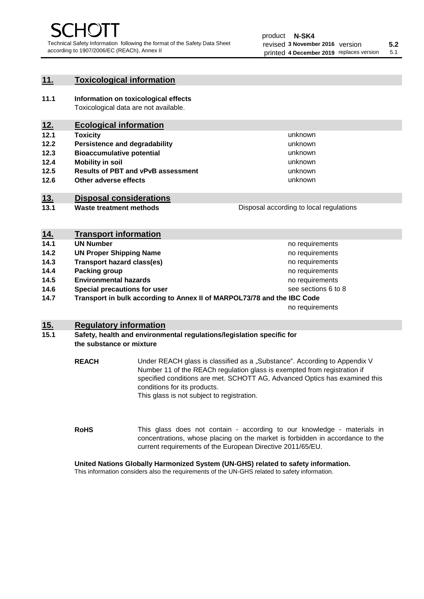unknown unknown unknown

unknown unknown unknown

Disposal according to local regulations

# **11. Toxicological information**

**11.1 Information on toxicological effects** Toxicological data are not available.

# **12. Ecological information**

- **12.1 Toxicity**
- **12.2 Persistence and degradability**
- **12.3 Bioaccumulative potential**
- **12.4 Mobility in soil**
- **12.5 Results of PBT and vPvB assessment**
- **12.6 Other adverse effects**

# **13. Disposal considerations**

**13.1 Waste treatment methods**

| <u>14.</u> | <b>Transport information</b>                                            |                     |
|------------|-------------------------------------------------------------------------|---------------------|
| 14.1       | <b>UN Number</b>                                                        | no requirements     |
| 14.2       | <b>UN Proper Shipping Name</b>                                          | no requirements     |
| 14.3       | <b>Transport hazard class(es)</b>                                       | no requirements     |
| 14.4       | Packing group                                                           | no requirements     |
| 14.5       | <b>Environmental hazards</b>                                            | no requirements     |
| 14.6       | Special precautions for user                                            | see sections 6 to 8 |
| 14.7       | Transport in bulk according to Annex II of MARPOL73/78 and the IBC Code |                     |
|            |                                                                         | no requirements     |

# **15. Regulatory information**

## **15.1 Safety, health and environmental regulations/legislation specific for the substance or mixture**

**REACH** Under REACH glass is classified as a "Substance". According to Appendix V Number 11 of the REACh regulation glass is exempted from registration if specified conditions are met. SCHOTT AG, Advanced Optics has examined this conditions for its products. This glass is not subject to registration.

**RoHS** This glass does not contain - according to our knowledge - materials in concentrations, whose placing on the market is forbidden in accordance to the current requirements of the European Directive 2011/65/EU.

# **United Nations Globally Harmonized System (UN-GHS) related to safety information.**

This information considers also the requirements of the UN-GHS related to safety information.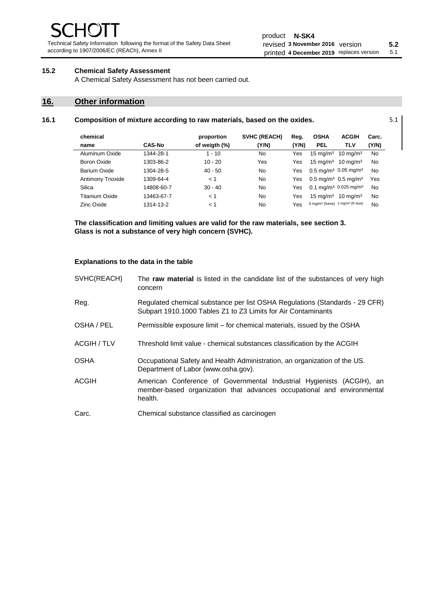Technical Safety Information following the format of the Safety Data Sheet according to 1907/2006/EC (REACh), Annex II

# **15.2 Chemical Safety Assessment**

A Chemical Safety Assessment has not been carried out.

# **16. Other information**

# **16.1 Composition of mixture according to raw materials, based on the oxides.** 5.1

| chemical          |               | proportion    | <b>SVHC (REACH)</b> | Reg.       | <b>OSHA</b>                                             | <b>ACGIH</b>                                  | Carc. |
|-------------------|---------------|---------------|---------------------|------------|---------------------------------------------------------|-----------------------------------------------|-------|
| name              | <b>CAS-No</b> | of weigth (%) | (Y/N)               | (Y/N)      | <b>PEL</b>                                              | TLV                                           | (Y/N) |
| Aluminum Oxide    | 1344-28-1     | $1 - 10$      | No                  | Yes        | $15 \text{ mg/m}^3$                                     | $10 \text{ mg/m}^3$                           | No    |
| Boron Oxide       | 1303-86-2     | $10 - 20$     | Yes                 | Yes        | $15 \text{ mg/m}^3$                                     | $10 \text{ ma/m}^3$                           | No    |
| Barium Oxide      | 1304-28-5     | $40 - 50$     | No                  | Yes        |                                                         | $0.5 \text{ mg/m}^3$ 0.05 mg/m <sup>3</sup>   | No    |
| Antimony Trioxide | 1309-64-4     | < 1           | No                  | Yes        | $0.5 \text{ mg/m}^3$ 0.5 mg/m <sup>3</sup>              |                                               | Yes   |
| Silica            | 14808-60-7    | $30 - 40$     | No                  | Yes        |                                                         | 0.1 mg/m <sup>3</sup> 0.025 mg/m <sup>3</sup> | No    |
| Titanium Oxide    | 13463-67-7    | < 1           | No                  | Yes        | $15 \text{ mg/m}^3$                                     | $10 \text{ ma/m}^3$                           | No    |
| Zinc Oxide        | 1314-13-2     | < 1           | No                  | <b>Yes</b> | 5 mg/m <sup>3</sup> (fume) 2 mg/m <sup>3</sup> (R dust) |                                               | No    |

**The classification and limiting values are valid for the raw materials, see section 3. Glass is not a substance of very high concern (SVHC).**

#### **Explanations to the data in the table**

| SVHC(REACH)  | The raw material is listed in the candidate list of the substances of very high<br>concern                                                                 |
|--------------|------------------------------------------------------------------------------------------------------------------------------------------------------------|
| Reg.         | Regulated chemical substance per list OSHA Regulations (Standards - 29 CFR)<br>Subpart 1910.1000 Tables Z1 to Z3 Limits for Air Contaminants               |
| OSHA / PEL   | Permissible exposure limit – for chemical materials, issued by the OSHA                                                                                    |
| ACGIH / TLV  | Threshold limit value - chemical substances classification by the ACGIH                                                                                    |
| <b>OSHA</b>  | Occupational Safety and Health Administration, an organization of the US.<br>Department of Labor (www.osha.gov).                                           |
| <b>ACGIH</b> | American Conference of Governmental Industrial Hygienists (ACGIH), an<br>member-based organization that advances occupational and environmental<br>health. |
| Carc.        | Chemical substance classified as carcinogen                                                                                                                |